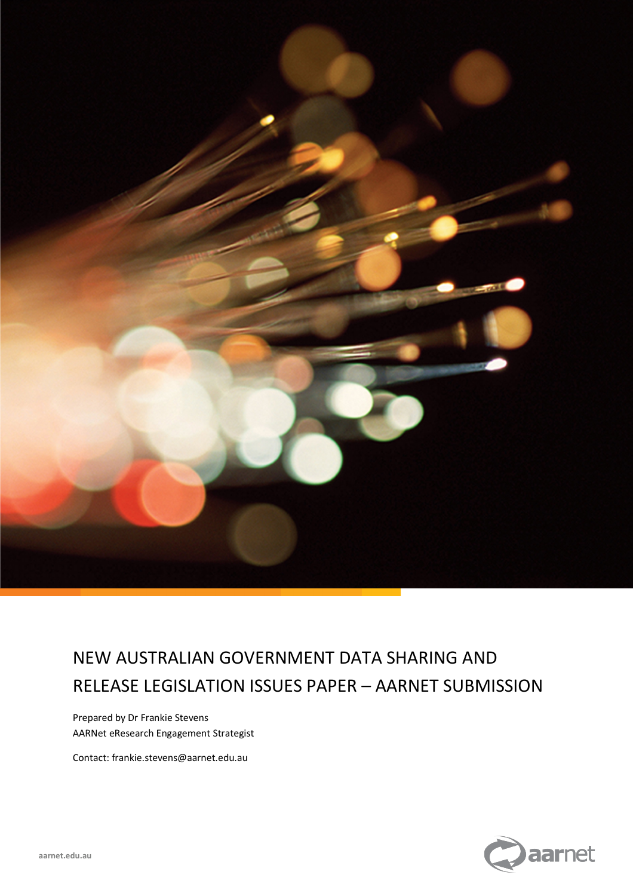

# NEW AUSTRALIAN GOVERNMENT DATA SHARING AND RELEASE LEGISLATION ISSUES PAPER – AARNET SUBMISSION

Prepared by Dr Frankie Stevens AARNet eResearch Engagement Strategist

Contact: frankie.stevens@aarnet.edu.au

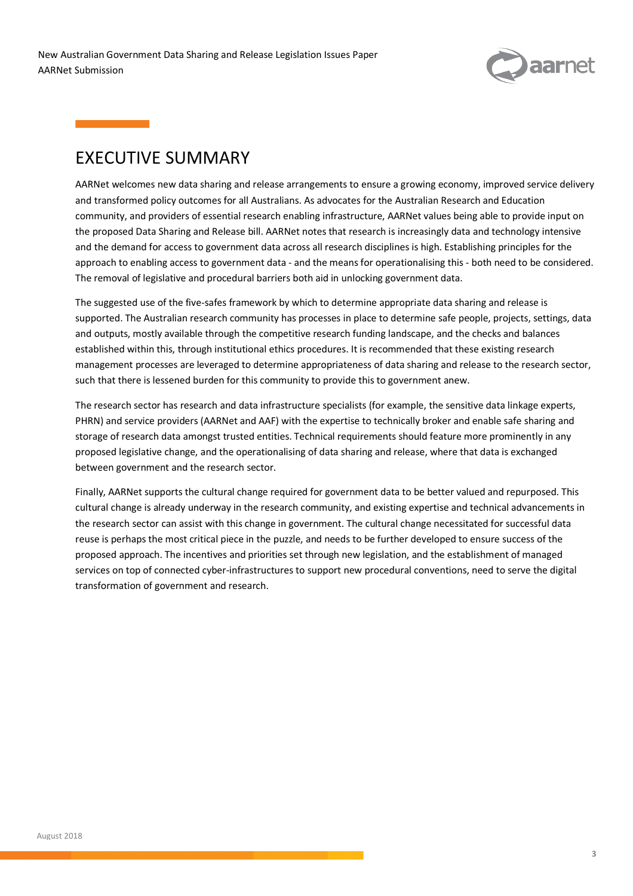

## EXECUTIVE SUMMARY

AARNet Submission

AARNet welcomes new data sharing and release arrangements to ensure a growing economy, improved service delivery and transformed policy outcomes for all Australians. As advocates for the Australian Research and Education community, and providers of essential research enabling infrastructure, AARNet values being able to provide input on the proposed Data Sharing and Release bill. AARNet notes that research is increasingly data and technology intensive and the demand for access to government data across all research disciplines is high. Establishing principles for the approach to enabling access to government data - and the means for operationalising this - both need to be considered. The removal of legislative and procedural barriers both aid in unlocking government data.

The suggested use of the five-safes framework by which to determine appropriate data sharing and release is supported. The Australian research community has processes in place to determine safe people, projects, settings, data and outputs, mostly available through the competitive research funding landscape, and the checks and balances established within this, through institutional ethics procedures. It is recommended that these existing research management processes are leveraged to determine appropriateness of data sharing and release to the research sector, such that there is lessened burden for this community to provide this to government anew.

The research sector has research and data infrastructure specialists (for example, the sensitive data linkage experts, PHRN) and service providers (AARNet and AAF) with the expertise to technically broker and enable safe sharing and storage of research data amongst trusted entities. Technical requirements should feature more prominently in any proposed legislative change, and the operationalising of data sharing and release, where that data is exchanged between government and the research sector.

Finally, AARNet supports the cultural change required for government data to be better valued and repurposed. This cultural change is already underway in the research community, and existing expertise and technical advancements in the research sector can assist with this change in government. The cultural change necessitated for successful data reuse is perhaps the most critical piece in the puzzle, and needs to be further developed to ensure success of the proposed approach. The incentives and priorities set through new legislation, and the establishment of managed services on top of connected cyber-infrastructures to support new procedural conventions, need to serve the digital transformation of government and research.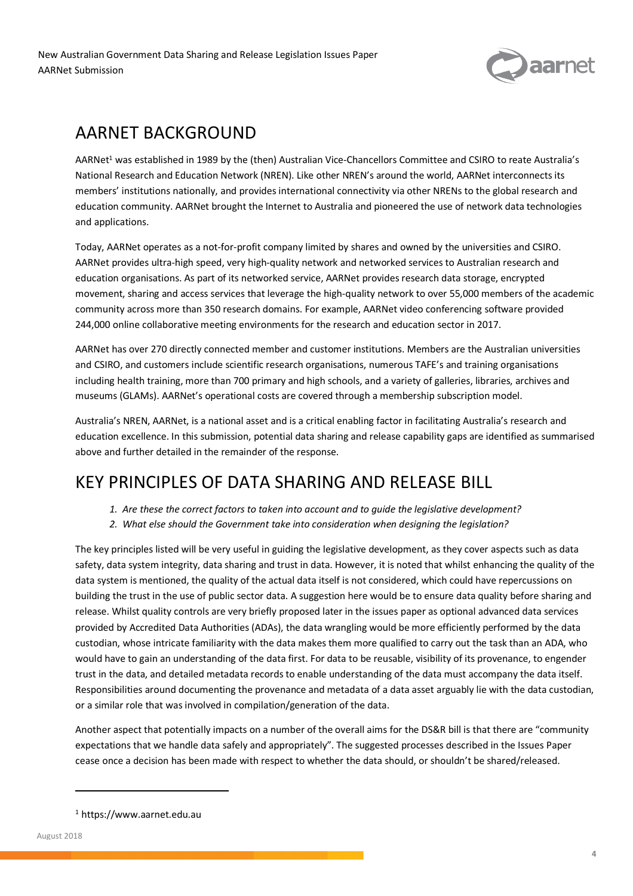

# AARNET BACKGROUND

AARNet<sup>1</sup> was established in 1989 by the (then) Australian Vice-Chancellors Committee and CSIRO to reate Australia's National Research and Education Network (NREN). Like other NREN's around the world, AARNet interconnects its members' institutions nationally, and provides international connectivity via other NRENs to the global research and education community. AARNet brought the Internet to Australia and pioneered the use of network data technologies and applications.

Today, AARNet operates as a not-for-profit company limited by shares and owned by the universities and CSIRO. AARNet provides ultra-high speed, very high-quality network and networked services to Australian research and education organisations. As part of its networked service, AARNet provides research data storage, encrypted movement, sharing and access services that leverage the high-quality network to over 55,000 members of the academic community across more than 350 research domains. For example, AARNet video conferencing software provided 244,000 online collaborative meeting environments for the research and education sector in 2017.

AARNet has over 270 directly connected member and customer institutions. Members are the Australian universities and CSIRO, and customers include scientific research organisations, numerous TAFE's and training organisations including health training, more than 700 primary and high schools, and a variety of galleries, libraries, archives and museums (GLAMs). AARNet's operational costs are covered through a membership subscription model.

Australia's NREN, AARNet, is a national asset and is a critical enabling factor in facilitating Australia's research and education excellence. In this submission, potential data sharing and release capability gaps are identified as summarised above and further detailed in the remainder of the response.

# KEY PRINCIPLES OF DATA SHARING AND RELEASE BILL

- *1. Are these the correct factors to taken into account and to guide the legislative development?*
- *2. What else should the Government take into consideration when designing the legislation?*

The key principles listed will be very useful in guiding the legislative development, as they cover aspects such as data safety, data system integrity, data sharing and trust in data. However, it is noted that whilst enhancing the quality of the data system is mentioned, the quality of the actual data itself is not considered, which could have repercussions on building the trust in the use of public sector data. A suggestion here would be to ensure data quality before sharing and release. Whilst quality controls are very briefly proposed later in the issues paper as optional advanced data services provided by Accredited Data Authorities (ADAs), the data wrangling would be more efficiently performed by the data custodian, whose intricate familiarity with the data makes them more qualified to carry out the task than an ADA, who would have to gain an understanding of the data first. For data to be reusable, visibility of its provenance, to engender trust in the data, and detailed metadata records to enable understanding of the data must accompany the data itself. Responsibilities around documenting the provenance and metadata of a data asset arguably lie with the data custodian, or a similar role that was involved in compilation/generation of the data.

Another aspect that potentially impacts on a number of the overall aims for the DS&R bill is that there are "community expectations that we handle data safely and appropriately". The suggested processes described in the Issues Paper cease once a decision has been made with respect to whether the data should, or shouldn't be shared/released.

<sup>1</sup> https://www.aarnet.edu.au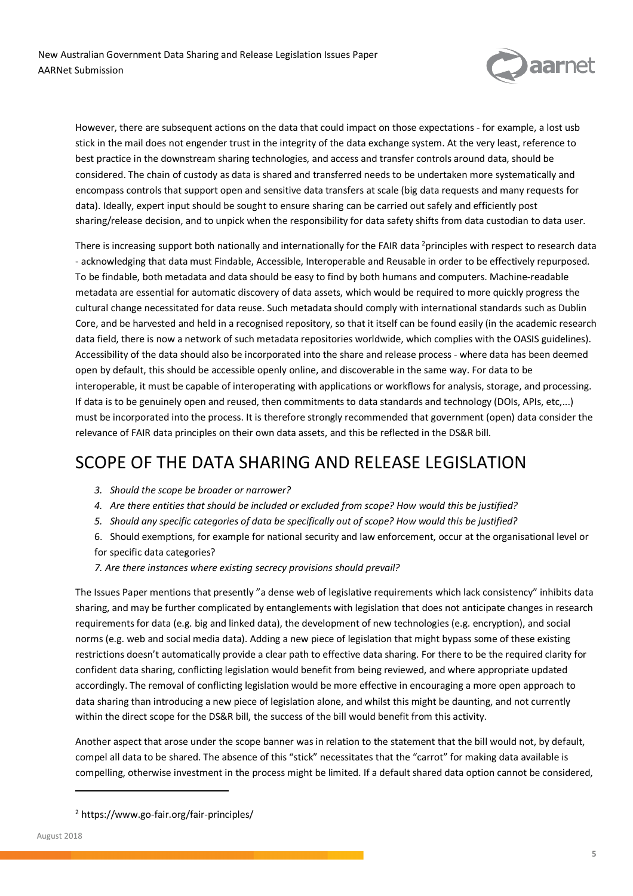

However, there are subsequent actions on the data that could impact on those expectations - for example, a lost usb stick in the mail does not engender trust in the integrity of the data exchange system. At the very least, reference to best practice in the downstream sharing technologies, and access and transfer controls around data, should be considered. The chain of custody as data is shared and transferred needs to be undertaken more systematically and encompass controls that support open and sensitive data transfers at scale (big data requests and many requests for data). Ideally, expert input should be sought to ensure sharing can be carried out safely and efficiently post sharing/release decision, and to unpick when the responsibility for data safety shifts from data custodian to data user.

There is increasing support both nationally and internationally for the FAIR data <sup>2</sup>principles with respect to research data - acknowledging that data must Findable, Accessible, Interoperable and Reusable in order to be effectively repurposed. To be findable, both metadata and data should be easy to find by both humans and computers. Machine-readable metadata are essential for automatic discovery of data assets, which would be required to more quickly progress the cultural change necessitated for data reuse. Such metadata should comply with international standards such as Dublin Core, and be harvested and held in a recognised repository, so that it itself can be found easily (in the academic research data field, there is now a network of such metadata repositories worldwide, which complies with the OASIS guidelines). Accessibility of the data should also be incorporated into the share and release process - where data has been deemed open by default, this should be accessible openly online, and discoverable in the same way. For data to be interoperable, it must be capable of interoperating with applications or workflows for analysis, storage, and processing. If data is to be genuinely open and reused, then commitments to data standards and technology (DOIs, APIs, etc,...) must be incorporated into the process. It is therefore strongly recommended that government (open) data consider the relevance of FAIR data principles on their own data assets, and this be reflected in the DS&R bill.

## SCOPE OF THE DATA SHARING AND RELEASE LEGISLATION

- *3. Should the scope be broader or narrower?*
- *4. Are there entities that should be included or excluded from scope? How would this be justified?*
- *5. Should any specific categories of data be specifically out of scope? How would this be justified?*
- 6. Should exemptions, for example for national security and law enforcement, occur at the organisational level or for specific data categories?
- *7. Are there instances where existing secrecy provisions should prevail?*

The Issues Paper mentions that presently "a dense web of legislative requirements which lack consistency" inhibits data sharing, and may be further complicated by entanglements with legislation that does not anticipate changes in research requirements for data (e.g. big and linked data), the development of new technologies (e.g. encryption), and social norms (e.g. web and social media data). Adding a new piece of legislation that might bypass some of these existing restrictions doesn't automatically provide a clear path to effective data sharing. For there to be the required clarity for confident data sharing, conflicting legislation would benefit from being reviewed, and where appropriate updated accordingly. The removal of conflicting legislation would be more effective in encouraging a more open approach to data sharing than introducing a new piece of legislation alone, and whilst this might be daunting, and not currently within the direct scope for the DS&R bill, the success of the bill would benefit from this activity.

Another aspect that arose under the scope banner was in relation to the statement that the bill would not, by default, compel all data to be shared. The absence of this "stick" necessitates that the "carrot" for making data available is compelling, otherwise investment in the process might be limited. If a default shared data option cannot be considered,

<sup>2</sup> https://www.go-fair.org/fair-principles/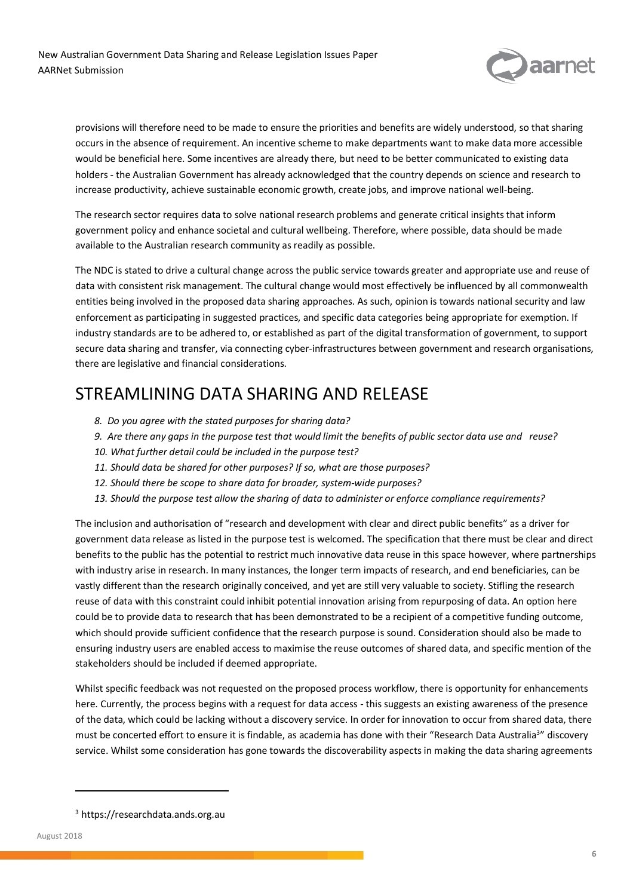

provisions will therefore need to be made to ensure the priorities and benefits are widely understood, so that sharing occurs in the absence of requirement. An incentive scheme to make departments want to make data more accessible would be beneficial here. Some incentives are already there, but need to be better communicated to existing data holders - the Australian Government has already acknowledged that the country depends on science and research to increase productivity, achieve sustainable economic growth, create jobs, and improve national well-being.

The research sector requires data to solve national research problems and generate critical insights that inform government policy and enhance societal and cultural wellbeing. Therefore, where possible, data should be made available to the Australian research community as readily as possible.

The NDC is stated to drive a cultural change across the public service towards greater and appropriate use and reuse of data with consistent risk management. The cultural change would most effectively be influenced by all commonwealth entities being involved in the proposed data sharing approaches. As such, opinion is towards national security and law enforcement as participating in suggested practices, and specific data categories being appropriate for exemption. If industry standards are to be adhered to, or established as part of the digital transformation of government, to support secure data sharing and transfer, via connecting cyber-infrastructures between government and research organisations, there are legislative and financial considerations.

## STREAMLINING DATA SHARING AND RELEASE

- *8. Do you agree with the stated purposes for sharing data?*
- *9. Are there any gaps in the purpose test that would limit the benefits of public sector data use and reuse?*
- *10. What further detail could be included in the purpose test?*
- *11. Should data be shared for other purposes? If so, what are those purposes?*
- *12. Should there be scope to share data for broader, system-wide purposes?*
- *13. Should the purpose test allow the sharing of data to administer or enforce compliance requirements?*

The inclusion and authorisation of "research and development with clear and direct public benefits" as a driver for government data release as listed in the purpose test is welcomed. The specification that there must be clear and direct benefits to the public has the potential to restrict much innovative data reuse in this space however, where partnerships with industry arise in research. In many instances, the longer term impacts of research, and end beneficiaries, can be vastly different than the research originally conceived, and yet are still very valuable to society. Stifling the research reuse of data with this constraint could inhibit potential innovation arising from repurposing of data. An option here could be to provide data to research that has been demonstrated to be a recipient of a competitive funding outcome, which should provide sufficient confidence that the research purpose is sound. Consideration should also be made to ensuring industry users are enabled access to maximise the reuse outcomes of shared data, and specific mention of the stakeholders should be included if deemed appropriate.

Whilst specific feedback was not requested on the proposed process workflow, there is opportunity for enhancements here. Currently, the process begins with a request for data access - this suggests an existing awareness of the presence of the data, which could be lacking without a discovery service. In order for innovation to occur from shared data, there must be concerted effort to ensure it is findable, as academia has done with their "Research Data Australia<sup>3</sup>" discovery service. Whilst some consideration has gone towards the discoverability aspects in making the data sharing agreements

<sup>3</sup> https://researchdata.ands.org.au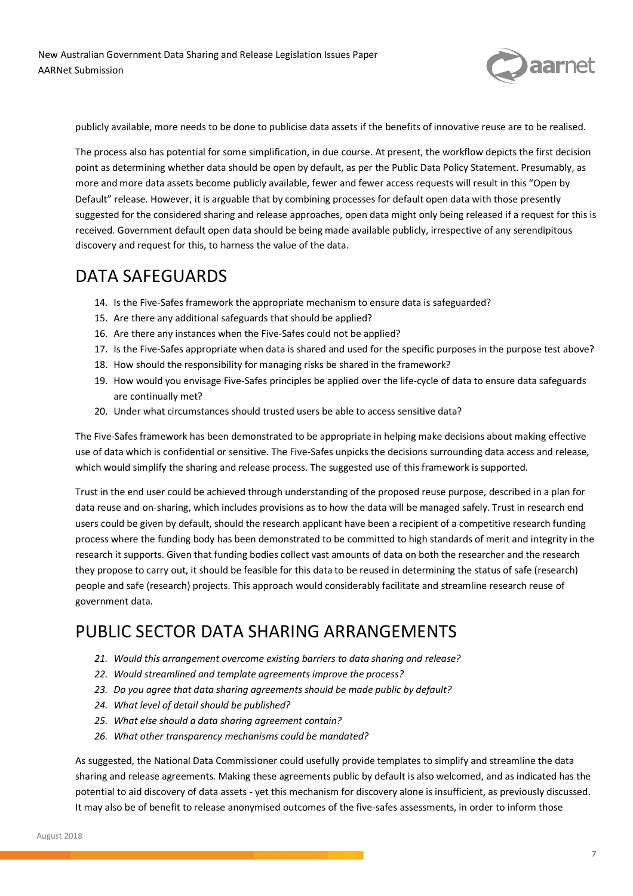

publicly available, more needs to be done to publicise data assets if the benefits of innovative reuse are to be realised.

The process also has potential for some simplification, in due course. At present, the workflow depicts the first decision point as determining whether data should be open by default, as per the Public Data Policy Statement. Presumably, as more and more data assets become publicly available, fewer and fewer access requests will result in this "Open by Default" release. However, it is arguable that by combining processes for default open data with those presently suggested for the considered sharing and release approaches, open data might only being released if a request for this is received. Government default open data should be being made available publicly, irrespective of any serendipitous discovery and request for this, to harness the value of the data.

#### DATA SAFEGUARDS

- 14. Is the Five-Safes framework the appropriate mechanism to ensure data is safeguarded?
- 15. Are there any additional safeguards that should be applied?
- 16. Are there any instances when the Five-Safes could not be applied?
- 17. Is the Five-Safes appropriate when data is shared and used for the specific purposes in the purpose test above?
- 18. How should the responsibility for managing risks be shared in the framework?
- 19. How would you envisage Five-Safes principles be applied over the life-cycle of data to ensure data safeguards are continually met?
- 20. Under what circumstances should trusted users be able to access sensitive data?

The Five-Safes framework has been demonstrated to be appropriate in helping make decisions about making effective use of data which is confidential or sensitive. The Five-Safes unpicks the decisions surrounding data access and release, which would simplify the sharing and release process. The suggested use of this framework is supported.

Trust in the end user could be achieved through understanding of the proposed reuse purpose, described in a plan for data reuse and on-sharing, which includes provisions as to how the data will be managed safely. Trust in research end users could be given by default, should the research applicant have been a recipient of a competitive research funding process where the funding body has been demonstrated to be committed to high standards of merit and integrity in the research it supports. Given that funding bodies collect vast amounts of data on both the researcher and the research they propose to carry out, it should be feasible for this data to be reused in determining the status of safe (research) people and safe (research) projects. This approach would considerably facilitate and streamline research reuse of government data.

## PUBLIC SECTOR DATA SHARING ARRANGEMENTS

- *21. Would this arrangement overcome existing barriers to data sharing and release?*
- *22. Would streamlined and template agreements improve the process?*
- *23. Do you agree that data sharing agreements should be made public by default?*
- *24. What level of detail should be published?*
- *25. What else should a data sharing agreement contain?*
- *26. What other transparency mechanisms could be mandated?*

As suggested, the National Data Commissioner could usefully provide templates to simplify and streamline the data sharing and release agreements. Making these agreements public by default is also welcomed, and as indicated has the potential to aid discovery of data assets - yet this mechanism for discovery alone is insufficient, as previously discussed. It may also be of benefit to release anonymised outcomes of the five-safes assessments, in order to inform those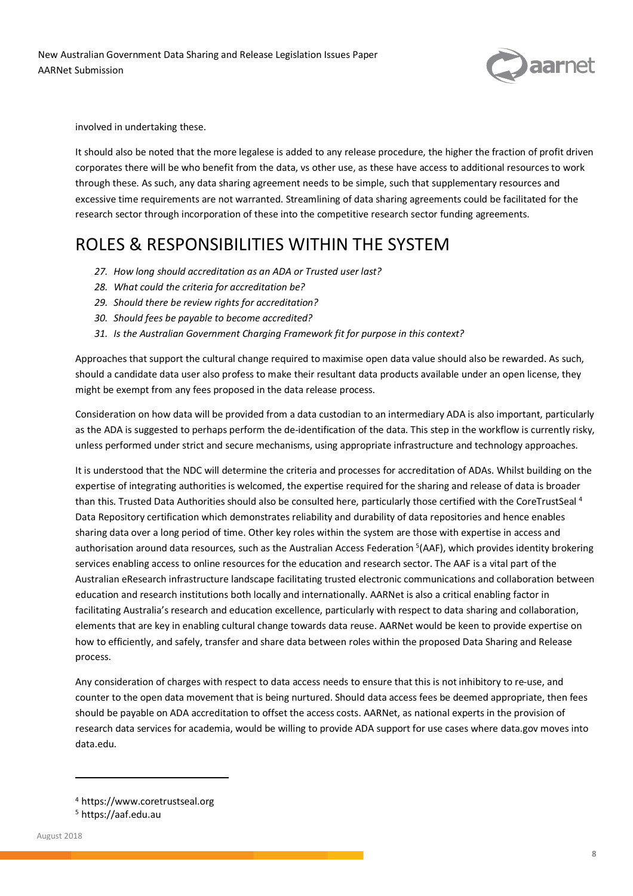

involved in undertaking these.

It should also be noted that the more legalese is added to any release procedure, the higher the fraction of profit driven corporates there will be who benefit from the data, vs other use, as these have access to additional resources to work through these. As such, any data sharing agreement needs to be simple, such that supplementary resources and excessive time requirements are not warranted. Streamlining of data sharing agreements could be facilitated for the research sector through incorporation of these into the competitive research sector funding agreements.

#### ROLES & RESPONSIBILITIES WITHIN THE SYSTEM

- *27. How long should accreditation as an ADA or Trusted user last?*
- *28. What could the criteria for accreditation be?*
- *29. Should there be review rights for accreditation?*
- *30. Should fees be payable to become accredited?*
- *31. Is the Australian Government Charging Framework fit for purpose in this context?*

Approaches that support the cultural change required to maximise open data value should also be rewarded. As such, should a candidate data user also profess to make their resultant data products available under an open license, they might be exempt from any fees proposed in the data release process.

Consideration on how data will be provided from a data custodian to an intermediary ADA is also important, particularly as the ADA is suggested to perhaps perform the de-identification of the data. This step in the workflow is currently risky, unless performed under strict and secure mechanisms, using appropriate infrastructure and technology approaches.

It is understood that the NDC will determine the criteria and processes for accreditation of ADAs. Whilst building on the expertise of integrating authorities is welcomed, the expertise required for the sharing and release of data is broader than this. Trusted Data Authorities should also be consulted here, particularly those certified with the CoreTrustSeal 4 Data Repository certification which demonstrates reliability and durability of data repositories and hence enables sharing data over a long period of time. Other key roles within the system are those with expertise in access and authorisation around data resources, such as the Australian Access Federation  $5(AAF)$ , which provides identity brokering services enabling access to online resources for the education and research sector. The AAF is a vital part of the Australian eResearch infrastructure landscape facilitating trusted electronic communications and collaboration between education and research institutions both locally and internationally. AARNet is also a critical enabling factor in facilitating Australia's research and education excellence, particularly with respect to data sharing and collaboration, elements that are key in enabling cultural change towards data reuse. AARNet would be keen to provide expertise on how to efficiently, and safely, transfer and share data between roles within the proposed Data Sharing and Release process.

Any consideration of charges with respect to data access needs to ensure that this is not inhibitory to re-use, and counter to the open data movement that is being nurtured. Should data access fees be deemed appropriate, then fees should be payable on ADA accreditation to offset the access costs. AARNet, as national experts in the provision of research data services for academia, would be willing to provide ADA support for use cases where data.gov moves into data.edu.

<sup>4</sup> https://www.coretrustseal.org

<sup>5</sup> https://aaf.edu.au